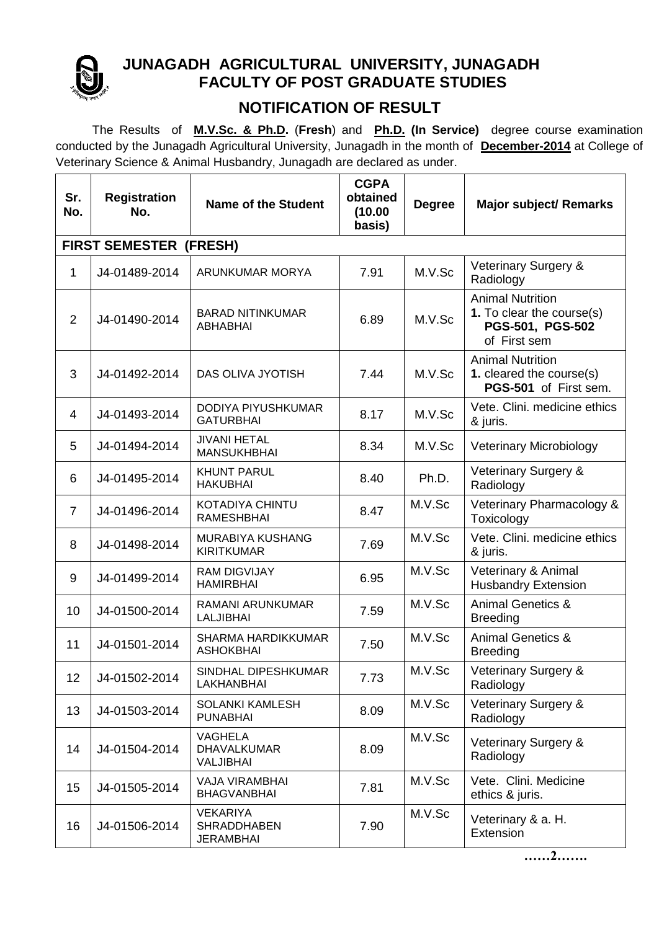

## **JUNAGADH AGRICULTURAL UNIVERSITY, JUNAGADH FACULTY OF POST GRADUATE STUDIES**

## **NOTIFICATION OF RESULT**

 The Results of **M.V.Sc. & Ph.D.** (**Fresh**) and **Ph.D. (In Service)** degree course examination conducted by the Junagadh Agricultural University, Junagadh in the month of **December-2014** at College of Veterinary Science & Animal Husbandry, Junagadh are declared as under.

| Sr.<br>No.                    | <b>Registration</b><br>No. | <b>Name of the Student</b>                         | <b>CGPA</b><br>obtained<br>(10.00)<br>basis) | <b>Degree</b> | <b>Major subject/ Remarks</b>                                                            |  |  |  |  |
|-------------------------------|----------------------------|----------------------------------------------------|----------------------------------------------|---------------|------------------------------------------------------------------------------------------|--|--|--|--|
| <b>FIRST SEMESTER (FRESH)</b> |                            |                                                    |                                              |               |                                                                                          |  |  |  |  |
| 1                             | J4-01489-2014              | ARUNKUMAR MORYA                                    | 7.91                                         | M.V.Sc        | Veterinary Surgery &<br>Radiology                                                        |  |  |  |  |
| $\overline{2}$                | J4-01490-2014              | <b>BARAD NITINKUMAR</b><br>ABHABHAI                | 6.89                                         | M.V.Sc        | <b>Animal Nutrition</b><br>1. To clear the course(s)<br>PGS-501, PGS-502<br>of First sem |  |  |  |  |
| 3                             | J4-01492-2014              | DAS OLIVA JYOTISH                                  | 7.44                                         | M.V.Sc        | <b>Animal Nutrition</b><br>1. cleared the course(s)<br>PGS-501 of First sem.             |  |  |  |  |
| $\overline{4}$                | J4-01493-2014              | DODIYA PIYUSHKUMAR<br><b>GATURBHAI</b>             | 8.17                                         | M.V.Sc        | Vete. Clini. medicine ethics<br>& juris.                                                 |  |  |  |  |
| 5                             | J4-01494-2014              | <b>JIVANI HETAL</b><br><b>MANSUKHBHAI</b>          | 8.34                                         | M.V.Sc        | <b>Veterinary Microbiology</b>                                                           |  |  |  |  |
| 6                             | J4-01495-2014              | <b>KHUNT PARUL</b><br><b>HAKUBHAI</b>              | 8.40                                         | Ph.D.         | Veterinary Surgery &<br>Radiology                                                        |  |  |  |  |
| $\overline{7}$                | J4-01496-2014              | <b>KOTADIYA CHINTU</b><br><b>RAMESHBHAI</b>        | 8.47                                         | M.V.Sc        | Veterinary Pharmacology &<br>Toxicology                                                  |  |  |  |  |
| 8                             | J4-01498-2014              | MURABIYA KUSHANG<br><b>KIRITKUMAR</b>              | 7.69                                         | M.V.Sc        | Vete. Clini. medicine ethics<br>& juris.                                                 |  |  |  |  |
| 9                             | J4-01499-2014              | <b>RAM DIGVIJAY</b><br><b>HAMIRBHAI</b>            | 6.95                                         | M.V.Sc        | Veterinary & Animal<br><b>Husbandry Extension</b>                                        |  |  |  |  |
| 10                            | J4-01500-2014              | RAMANI ARUNKUMAR<br>LALJIBHAI                      | 7.59                                         | M.V.Sc        | <b>Animal Genetics &amp;</b><br><b>Breeding</b>                                          |  |  |  |  |
| 11                            | J4-01501-2014              | <b>SHARMA HARDIKKUMAR</b><br><b>ASHOKBHAI</b>      | 7.50                                         | M.V.Sc        | <b>Animal Genetics &amp;</b><br><b>Breeding</b>                                          |  |  |  |  |
| 12                            | J4-01502-2014              | SINDHAL DIPESHKUMAR<br><b>LAKHANBHAI</b>           | 7.73                                         | M.V.Sc        | Veterinary Surgery &<br>Radiology                                                        |  |  |  |  |
| 13                            | J4-01503-2014              | SOLANKI KAMLESH<br><b>PUNABHAI</b>                 | 8.09                                         | M.V.Sc        | Veterinary Surgery &<br>Radiology                                                        |  |  |  |  |
| 14                            | J4-01504-2014              | <b>VAGHELA</b><br><b>DHAVALKUMAR</b><br>VALJIBHAI  | 8.09                                         | M.V.Sc        | Veterinary Surgery &<br>Radiology                                                        |  |  |  |  |
| 15                            | J4-01505-2014              | <b>VAJA VIRAMBHAI</b><br><b>BHAGVANBHAI</b>        | 7.81                                         | M.V.Sc        | Vete. Clini. Medicine<br>ethics & juris.                                                 |  |  |  |  |
| 16                            | J4-01506-2014              | <b>VEKARIYA</b><br><b>SHRADDHABEN</b><br>JERAMBHAI | 7.90                                         | M.V.Sc        | Veterinary & a. H.<br>Extension                                                          |  |  |  |  |

**……2…….**